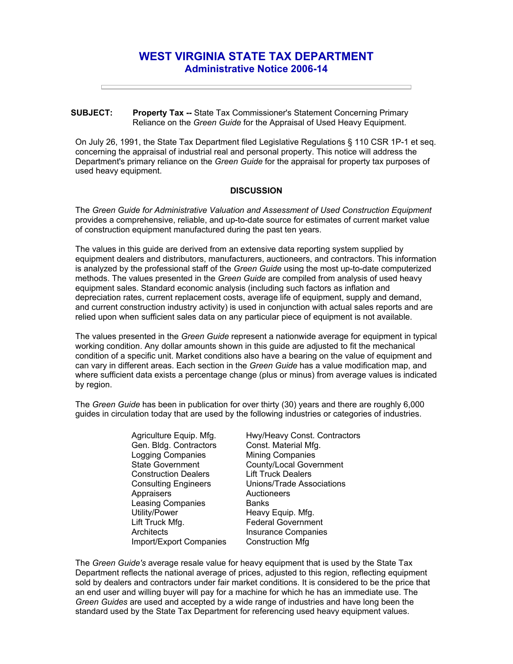## **WEST VIRGINIA STATE TAX DEPARTMENT Administrative Notice 2006-14**

## **SUBJECT: Property Tax --** State Tax Commissioner's Statement Concerning Primary Reliance on the *Green Guide* for the Appraisal of Used Heavy Equipment.

On July 26, 1991, the State Tax Department filed Legislative Regulations § 110 CSR 1P-1 et seq. concerning the appraisal of industrial real and personal property. This notice will address the Department's primary reliance on the *Green Guide* for the appraisal for property tax purposes of used heavy equipment.

## **DISCUSSION**

The *Green Guide for Administrative Valuation and Assessment of Used Construction Equipment*  provides a comprehensive, reliable, and up-to-date source for estimates of current market value of construction equipment manufactured during the past ten years.

The values in this guide are derived from an extensive data reporting system supplied by equipment dealers and distributors, manufacturers, auctioneers, and contractors. This information is analyzed by the professional staff of the *Green Guide* using the most up-to-date computerized methods. The values presented in the *Green Guide* are compiled from analysis of used heavy equipment sales. Standard economic analysis (including such factors as inflation and depreciation rates, current replacement costs, average life of equipment, supply and demand, and current construction industry activity) is used in conjunction with actual sales reports and are relied upon when sufficient sales data on any particular piece of equipment is not available.

The values presented in the *Green Guide* represent a nationwide average for equipment in typical working condition. Any dollar amounts shown in this guide are adjusted to fit the mechanical condition of a specific unit. Market conditions also have a bearing on the value of equipment and can vary in different areas. Each section in the *Green Guide* has a value modification map, and where sufficient data exists a percentage change (plus or minus) from average values is indicated by region.

The *Green Guide* has been in publication for over thirty (30) years and there are roughly 6,000 guides in circulation today that are used by the following industries or categories of industries.

> Agriculture Equip. Mfg. Gen. Bldg. Contractors Logging Companies State Government Construction Dealers Consulting Engineers **Appraisers** Leasing Companies Utility/Power Lift Truck Mfg. **Architects** Import/Export Companies

Hwy/Heavy Const. Contractors Const. Material Mfg. Mining Companies County/Local Government Lift Truck Dealers Unions/Trade Associations **Auctioneers Banks** Heavy Equip. Mfg. Federal Government Insurance Companies Construction Mfg

The *Green Guide's* average resale value for heavy equipment that is used by the State Tax Department reflects the national average of prices, adjusted to this region, reflecting equipment sold by dealers and contractors under fair market conditions. It is considered to be the price that an end user and willing buyer will pay for a machine for which he has an immediate use. The *Green Guides* are used and accepted by a wide range of industries and have long been the standard used by the State Tax Department for referencing used heavy equipment values.